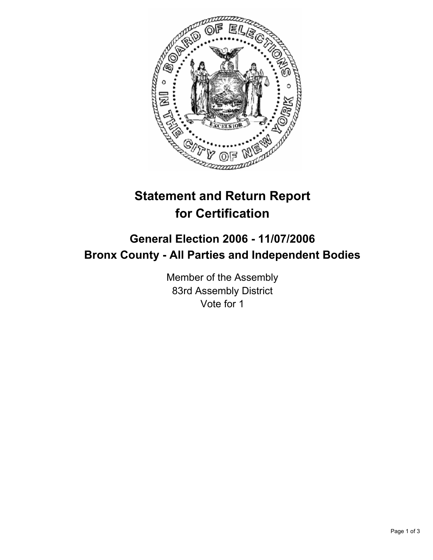

# **Statement and Return Report for Certification**

## **General Election 2006 - 11/07/2006 Bronx County - All Parties and Independent Bodies**

Member of the Assembly 83rd Assembly District Vote for 1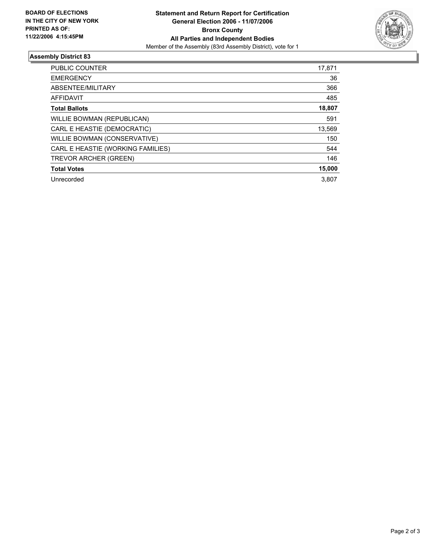

### **Assembly District 83**

| <b>PUBLIC COUNTER</b>             | 17,871 |
|-----------------------------------|--------|
| <b>EMERGENCY</b>                  | 36     |
| ABSENTEE/MILITARY                 | 366    |
| <b>AFFIDAVIT</b>                  | 485    |
| <b>Total Ballots</b>              | 18,807 |
| WILLIE BOWMAN (REPUBLICAN)        | 591    |
| CARL E HEASTIE (DEMOCRATIC)       | 13,569 |
| WILLIE BOWMAN (CONSERVATIVE)      | 150    |
| CARL E HEASTIE (WORKING FAMILIES) | 544    |
| TREVOR ARCHER (GREEN)             | 146    |
| <b>Total Votes</b>                | 15,000 |
| Unrecorded                        | 3.807  |